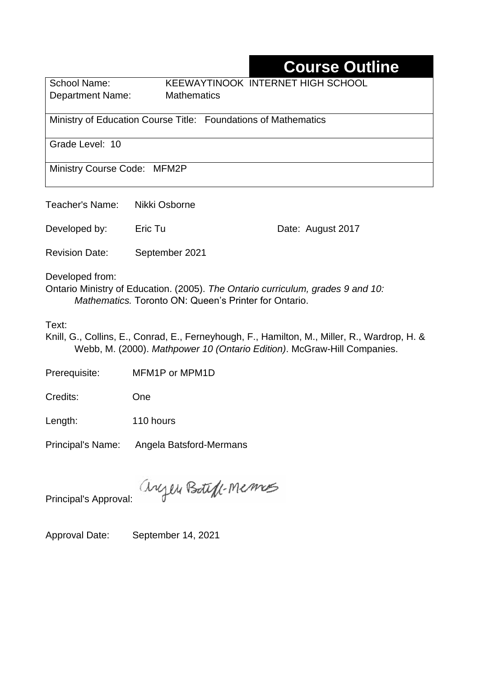## **Course Outline**

Department Name:Mathematics

School Name: KEEWAYTINOOK INTERNET HIGH SCHOOL

Ministry of Education Course Title:Foundations of Mathematics

Grade Level: 10

Ministry Course Code: MFM2P

Teacher's Name: Nikki Osborne

Developed by: Eric Tu Date: August 2017

Revision Date: September 2021

Developed from:

Ontario Ministry of Education. (2005). *The Ontario curriculum, grades 9 and 10: Mathematics.* Toronto ON: Queen's Printer for Ontario.

Text:

Knill, G., Collins, E., Conrad, E., Ferneyhough, F., Hamilton, M., Miller, R., Wardrop, H. & Webb, M. (2000). *Mathpower 10 (Ontario Edition)*. McGraw-Hill Companies.

Prerequisite: MFM1P or MPM1D

Credits: One

Length: 110 hours

Principal's Name: Angela Batsford-Mermans

anyen Boteft-Memos

Principal's Approval:

Approval Date: September 14, 2021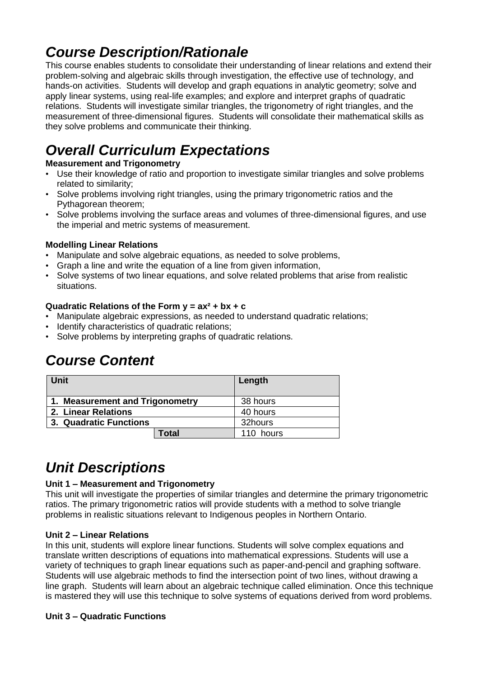## *Course Description/Rationale*

This course enables students to consolidate their understanding of linear relations and extend their problem-solving and algebraic skills through investigation, the effective use of technology, and hands-on activities. Students will develop and graph equations in analytic geometry; solve and apply linear systems, using real-life examples; and explore and interpret graphs of quadratic relations. Students will investigate similar triangles, the trigonometry of right triangles, and the measurement of three-dimensional figures. Students will consolidate their mathematical skills as they solve problems and communicate their thinking.

# *Overall Curriculum Expectations*

### **Measurement and Trigonometry**

- Use their knowledge of ratio and proportion to investigate similar triangles and solve problems related to similarity;
- Solve problems involving right triangles, using the primary trigonometric ratios and the Pythagorean theorem;
- Solve problems involving the surface areas and volumes of three-dimensional figures, and use the imperial and metric systems of measurement.

### **Modelling Linear Relations**

- Manipulate and solve algebraic equations, as needed to solve problems,
- Graph a line and write the equation of a line from given information,
- Solve systems of two linear equations, and solve related problems that arise from realistic situations.

### **Quadratic Relations of the Form y = ax² + bx + c**

- Manipulate algebraic expressions, as needed to understand quadratic relations;
- Identify characteristics of quadratic relations;
- Solve problems by interpreting graphs of quadratic relations.

## *Course Content*

| <b>Unit</b>                     | Length    |
|---------------------------------|-----------|
| 1. Measurement and Trigonometry | 38 hours  |
| 2. Linear Relations             | 40 hours  |
| 3. Quadratic Functions          | 32hours   |
| Total                           | 110 hours |

## *Unit Descriptions*

### **Unit 1 – Measurement and Trigonometry**

This unit will investigate the properties of similar triangles and determine the primary trigonometric ratios. The primary trigonometric ratios will provide students with a method to solve triangle problems in realistic situations relevant to Indigenous peoples in Northern Ontario.

#### **Unit 2 – Linear Relations**

In this unit, students will explore linear functions. Students will solve complex equations and translate written descriptions of equations into mathematical expressions. Students will use a variety of techniques to graph linear equations such as paper-and-pencil and graphing software. Students will use algebraic methods to find the intersection point of two lines, without drawing a line graph. Students will learn about an algebraic technique called elimination. Once this technique is mastered they will use this technique to solve systems of equations derived from word problems.

### **Unit 3 – Quadratic Functions**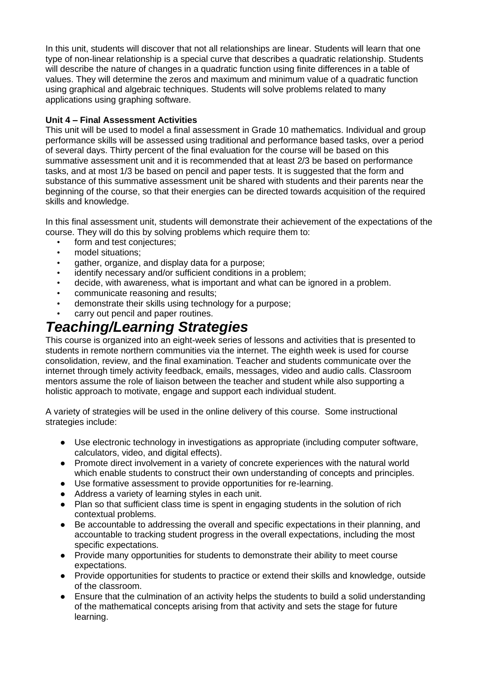In this unit, students will discover that not all relationships are linear. Students will learn that one type of non-linear relationship is a special curve that describes a quadratic relationship. Students will describe the nature of changes in a quadratic function using finite differences in a table of values. They will determine the zeros and maximum and minimum value of a quadratic function using graphical and algebraic techniques. Students will solve problems related to many applications using graphing software.

### **Unit 4 – Final Assessment Activities**

This unit will be used to model a final assessment in Grade 10 mathematics. Individual and group performance skills will be assessed using traditional and performance based tasks, over a period of several days. Thirty percent of the final evaluation for the course will be based on this summative assessment unit and it is recommended that at least 2/3 be based on performance tasks, and at most 1/3 be based on pencil and paper tests. It is suggested that the form and substance of this summative assessment unit be shared with students and their parents near the beginning of the course, so that their energies can be directed towards acquisition of the required skills and knowledge.

In this final assessment unit, students will demonstrate their achievement of the expectations of the course. They will do this by solving problems which require them to:

- form and test conjectures;
- model situations;
- gather, organize, and display data for a purpose;
- identify necessary and/or sufficient conditions in a problem;
- decide, with awareness, what is important and what can be ignored in a problem.
- communicate reasoning and results;
- demonstrate their skills using technology for a purpose;
- carry out pencil and paper routines.

## *Teaching/Learning Strategies*

This course is organized into an eight-week series of lessons and activities that is presented to students in remote northern communities via the internet. The eighth week is used for course consolidation, review, and the final examination. Teacher and students communicate over the internet through timely activity feedback, emails, messages, video and audio calls. Classroom mentors assume the role of liaison between the teacher and student while also supporting a holistic approach to motivate, engage and support each individual student.

A variety of strategies will be used in the online delivery of this course. Some instructional strategies include:

- Use electronic technology in investigations as appropriate (including computer software, calculators, video, and digital effects).
- Promote direct involvement in a variety of concrete experiences with the natural world which enable students to construct their own understanding of concepts and principles.
- Use formative assessment to provide opportunities for re-learning.
- Address a variety of learning styles in each unit.
- Plan so that sufficient class time is spent in engaging students in the solution of rich contextual problems.
- Be accountable to addressing the overall and specific expectations in their planning, and accountable to tracking student progress in the overall expectations, including the most specific expectations.
- Provide many opportunities for students to demonstrate their ability to meet course expectations.
- Provide opportunities for students to practice or extend their skills and knowledge, outside of the classroom.
- Ensure that the culmination of an activity helps the students to build a solid understanding of the mathematical concepts arising from that activity and sets the stage for future learning.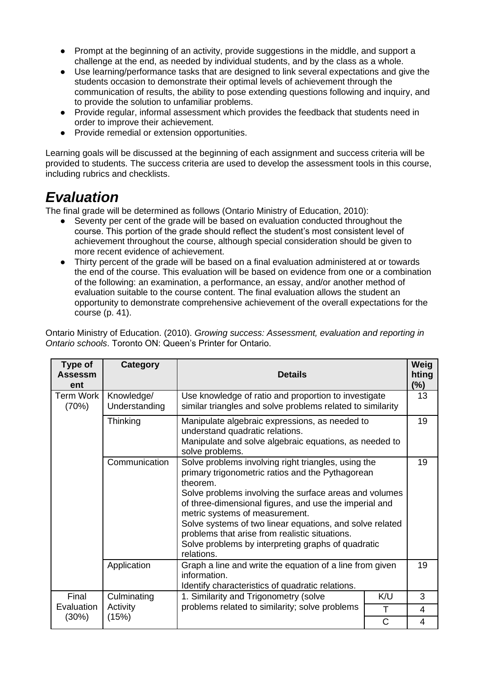- Prompt at the beginning of an activity, provide suggestions in the middle, and support a challenge at the end, as needed by individual students, and by the class as a whole.
- Use learning/performance tasks that are designed to link several expectations and give the students occasion to demonstrate their optimal levels of achievement through the communication of results, the ability to pose extending questions following and inquiry, and to provide the solution to unfamiliar problems.
- Provide regular, informal assessment which provides the feedback that students need in order to improve their achievement.
- Provide remedial or extension opportunities.

Learning goals will be discussed at the beginning of each assignment and success criteria will be provided to students. The success criteria are used to develop the assessment tools in this course, including rubrics and checklists.

## *Evaluation*

The final grade will be determined as follows (Ontario Ministry of Education, 2010):

- Seventy per cent of the grade will be based on evaluation conducted throughout the course. This portion of the grade should reflect the student's most consistent level of achievement throughout the course, although special consideration should be given to more recent evidence of achievement.
- Thirty percent of the grade will be based on a final evaluation administered at or towards the end of the course. This evaluation will be based on evidence from one or a combination of the following: an examination, a performance, an essay, and/or another method of evaluation suitable to the course content. The final evaluation allows the student an opportunity to demonstrate comprehensive achievement of the overall expectations for the course (p. 41).

Ontario Ministry of Education. (2010). *Growing success: Assessment, evaluation and reporting in Ontario schools*. Toronto ON: Queen's Printer for Ontario.

| Type of<br><b>Assessm</b><br>ent | Category                    | <b>Details</b>                                                                                                                                                                                                                                                                                                                                                                                                                                              |             | Weig<br>hting<br>$(\%)$ |
|----------------------------------|-----------------------------|-------------------------------------------------------------------------------------------------------------------------------------------------------------------------------------------------------------------------------------------------------------------------------------------------------------------------------------------------------------------------------------------------------------------------------------------------------------|-------------|-------------------------|
| <b>Term Work</b><br>(70%)        | Knowledge/<br>Understanding | Use knowledge of ratio and proportion to investigate<br>similar triangles and solve problems related to similarity                                                                                                                                                                                                                                                                                                                                          |             | 13                      |
|                                  | Thinking                    | Manipulate algebraic expressions, as needed to<br>understand quadratic relations.<br>Manipulate and solve algebraic equations, as needed to<br>solve problems.                                                                                                                                                                                                                                                                                              |             | 19                      |
|                                  | Communication               | Solve problems involving right triangles, using the<br>primary trigonometric ratios and the Pythagorean<br>theorem.<br>Solve problems involving the surface areas and volumes<br>of three-dimensional figures, and use the imperial and<br>metric systems of measurement.<br>Solve systems of two linear equations, and solve related<br>problems that arise from realistic situations.<br>Solve problems by interpreting graphs of quadratic<br>relations. |             | 19                      |
|                                  | Application                 | Graph a line and write the equation of a line from given<br>information.<br>Identify characteristics of quadratic relations.                                                                                                                                                                                                                                                                                                                                |             | 19                      |
| Final                            | Culminating                 | 1. Similarity and Trigonometry (solve                                                                                                                                                                                                                                                                                                                                                                                                                       | K/U         | 3                       |
| Evaluation                       | Activity                    | problems related to similarity; solve problems                                                                                                                                                                                                                                                                                                                                                                                                              | Τ           | $\overline{4}$          |
| (30%)                            | (15%)                       |                                                                                                                                                                                                                                                                                                                                                                                                                                                             | $\mathsf C$ | 4                       |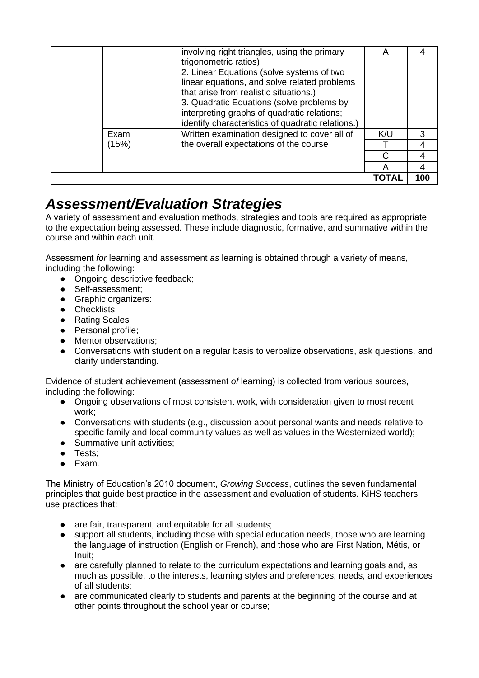|       | involving right triangles, using the primary<br>trigonometric ratios)<br>2. Linear Equations (solve systems of two<br>linear equations, and solve related problems<br>that arise from realistic situations.)<br>3. Quadratic Equations (solve problems by<br>interpreting graphs of quadratic relations;<br>identify characteristics of quadratic relations.) | А   |     |
|-------|---------------------------------------------------------------------------------------------------------------------------------------------------------------------------------------------------------------------------------------------------------------------------------------------------------------------------------------------------------------|-----|-----|
| Exam  | Written examination designed to cover all of                                                                                                                                                                                                                                                                                                                  | K/U | 3   |
| (15%) | the overall expectations of the course                                                                                                                                                                                                                                                                                                                        |     | 4   |
|       |                                                                                                                                                                                                                                                                                                                                                               | C   |     |
|       |                                                                                                                                                                                                                                                                                                                                                               |     |     |
|       |                                                                                                                                                                                                                                                                                                                                                               |     | 100 |

## *Assessment/Evaluation Strategies*

A variety of assessment and evaluation methods, strategies and tools are required as appropriate to the expectation being assessed. These include diagnostic, formative, and summative within the course and within each unit.

Assessment *for* learning and assessment *as* learning is obtained through a variety of means, including the following:

- Ongoing descriptive feedback;
- Self-assessment:
- Graphic organizers:
- Checklists:
- Rating Scales
- Personal profile;
- Mentor observations;
- Conversations with student on a regular basis to verbalize observations, ask questions, and clarify understanding.

Evidence of student achievement (assessment *of* learning) is collected from various sources, including the following:

- Ongoing observations of most consistent work, with consideration given to most recent work;
- Conversations with students (e.g., discussion about personal wants and needs relative to specific family and local community values as well as values in the Westernized world);
- Summative unit activities:
- Tests;
- Exam.

The Ministry of Education's 2010 document, *Growing Success*, outlines the seven fundamental principles that guide best practice in the assessment and evaluation of students. KiHS teachers use practices that:

- are fair, transparent, and equitable for all students;
- support all students, including those with special education needs, those who are learning the language of instruction (English or French), and those who are First Nation, Métis, or Inuit;
- are carefully planned to relate to the curriculum expectations and learning goals and, as much as possible, to the interests, learning styles and preferences, needs, and experiences of all students;
- are communicated clearly to students and parents at the beginning of the course and at other points throughout the school year or course;